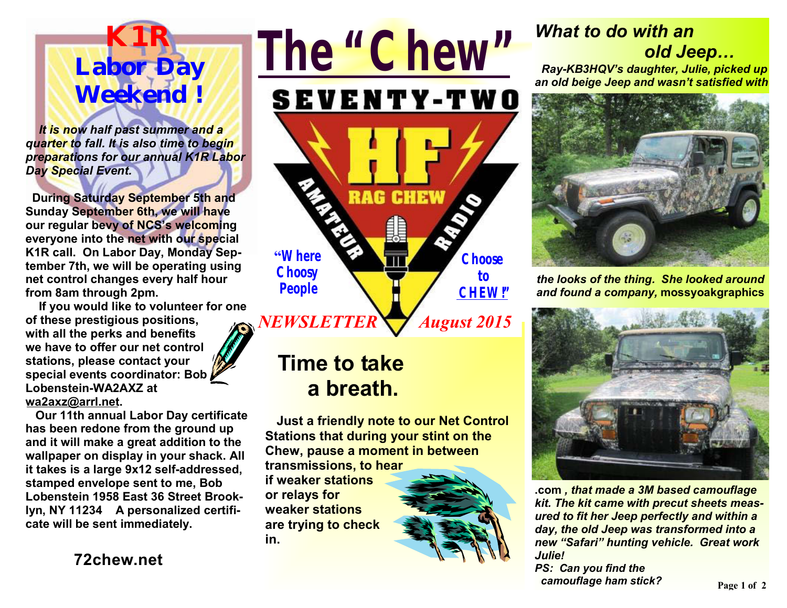

 *It is now half past summer and a quarter to fall. It is also time to begin preparations for our annual K1R Labor Day Special Event.* 

 **During Saturday September 5th and Sunday September 6th, we will have our regular bevy of NCS's welcoming everyone into the net with our special K1R call. On Labor Day, Monday September 7th, we will be operating using net control changes every half hour from 8am through 2pm.** 

 **If you would like to volunteer for one of these prestigious positions, with all the perks and benefits we have to offer our net control stations, please contact your special events coordinator: Bob Lobenstein-WA2AXZ at wa2axz@arrl.net.** 

 **Our 11th annual Labor Day certificate has been redone from the ground up and it will make a great addition to the wallpaper on display in your shack. All it takes is a large 9x12 self-addressed, stamped envelope sent to me, Bob Lobenstein 1958 East 36 Street Brooklyn, NY 11234 A personalized certificate will be sent immediately.** 

**72chew.net**



# **Time to take a breath.**

 **Just a friendly note to our Net Control Stations that during your stint on the Chew, pause a moment in between transmissions, to hear** 

**if weaker stations or relays for weaker stations are trying to check in.** 



## *What to do with an old Jeep…*

 *Ray-KB3HQV's daughter, Julie, picked up an old beige Jeep and wasn't satisfied with* 



*the looks of the thing. She looked around and found a company,* **mossyoakgraphics**



**.com** *, that made a 3M based camouflage kit. The kit came with precut sheets measured to fit her Jeep perfectly and within a day, the old Jeep was transformed into a new "Safari" hunting vehicle. Great work Julie!* 

*PS: Can you find the camouflage ham stick?*